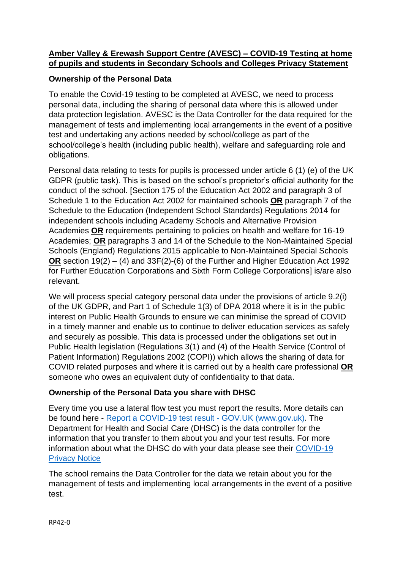## **Amber Valley & Erewash Support Centre (AVESC) – COVID-19 Testing at home of pupils and students in Secondary Schools and Colleges Privacy Statement**

## **Ownership of the Personal Data**

To enable the Covid-19 testing to be completed at AVESC, we need to process personal data, including the sharing of personal data where this is allowed under data protection legislation. AVESC is the Data Controller for the data required for the management of tests and implementing local arrangements in the event of a positive test and undertaking any actions needed by school/college as part of the school/college's health (including public health), welfare and safeguarding role and obligations.

Personal data relating to tests for pupils is processed under article 6 (1) (e) of the UK GDPR (public task). This is based on the school's proprietor's official authority for the conduct of the school. [Section 175 of the Education Act 2002 and paragraph 3 of Schedule 1 to the Education Act 2002 for maintained schools **OR** paragraph 7 of the Schedule to the Education (Independent School Standards) Regulations 2014 for independent schools including Academy Schools and Alternative Provision Academies **OR** requirements pertaining to policies on health and welfare for 16-19 Academies; **OR** paragraphs 3 and 14 of the Schedule to the Non-Maintained Special Schools (England) Regulations 2015 applicable to Non-Maintained Special Schools **OR** section 19(2) – (4) and 33F(2)-(6) of the Further and Higher Education Act 1992 for Further Education Corporations and Sixth Form College Corporations] is/are also relevant.

We will process special category personal data under the provisions of article 9.2(i) of the UK GDPR, and Part 1 of Schedule 1(3) of DPA 2018 where it is in the public interest on Public Health Grounds to ensure we can minimise the spread of COVID in a timely manner and enable us to continue to deliver education services as safely and securely as possible. This data is processed under the obligations set out in Public Health legislation (Regulations 3(1) and (4) of the Health Service (Control of Patient Information) Regulations 2002 (COPI)) which allows the sharing of data for COVID related purposes and where it is carried out by a health care professional **OR** someone who owes an equivalent duty of confidentiality to that data.

## **Ownership of the Personal Data you share with DHSC**

Every time you use a lateral flow test you must report the results. More details can be found here - [Report a COVID-19 test result -](https://www.gov.uk/report-covid19-result) GOV.UK (www.gov.uk). The Department for Health and Social Care (DHSC) is the data controller for the information that you transfer to them about you and your test results. For more information about what the DHSC do with your data please see their [COVID-19](https://www.gov.uk/government/publications/coronavirus-covid-19-testing-privacy-information)  [Privacy Notice](https://www.gov.uk/government/publications/coronavirus-covid-19-testing-privacy-information)

The school remains the Data Controller for the data we retain about you for the management of tests and implementing local arrangements in the event of a positive test.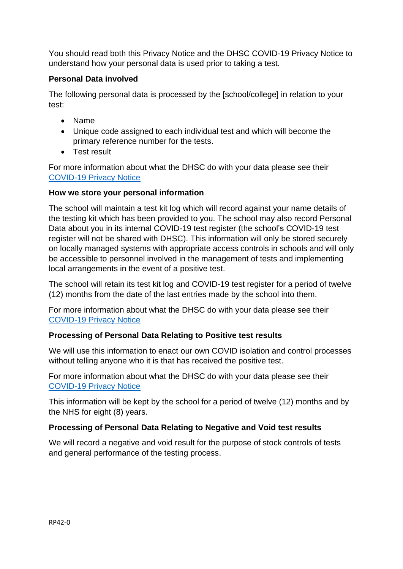You should read both this Privacy Notice and the DHSC COVID-19 Privacy Notice to understand how your personal data is used prior to taking a test.

## **Personal Data involved**

The following personal data is processed by the [school/college] in relation to your test:

- Name
- Unique code assigned to each individual test and which will become the primary reference number for the tests.
- Test result

For more information about what the DHSC do with your data please see their [COVID-19 Privacy Notice](https://www.gov.uk/government/publications/coronavirus-covid-19-testing-privacy-information)

## **How we store your personal information**

The school will maintain a test kit log which will record against your name details of the testing kit which has been provided to you. The school may also record Personal Data about you in its internal COVID-19 test register (the school's COVID-19 test register will not be shared with DHSC). This information will only be stored securely on locally managed systems with appropriate access controls in schools and will only be accessible to personnel involved in the management of tests and implementing local arrangements in the event of a positive test.

The school will retain its test kit log and COVID-19 test register for a period of twelve (12) months from the date of the last entries made by the school into them.

For more information about what the DHSC do with your data please see their [COVID-19 Privacy Notice](https://www.gov.uk/government/publications/coronavirus-covid-19-testing-privacy-information)

# **Processing of Personal Data Relating to Positive test results**

We will use this information to enact our own COVID isolation and control processes without telling anyone who it is that has received the positive test.

For more information about what the DHSC do with your data please see their [COVID-19 Privacy Notice](https://www.gov.uk/government/publications/coronavirus-covid-19-testing-privacy-information)

This information will be kept by the school for a period of twelve (12) months and by the NHS for eight (8) years.

# **Processing of Personal Data Relating to Negative and Void test results**

We will record a negative and void result for the purpose of stock controls of tests and general performance of the testing process.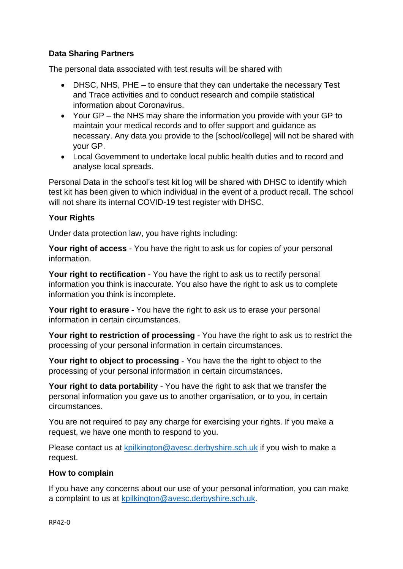## **Data Sharing Partners**

The personal data associated with test results will be shared with

- DHSC, NHS, PHE to ensure that they can undertake the necessary Test and Trace activities and to conduct research and compile statistical information about Coronavirus.
- Your GP the NHS may share the information you provide with your GP to maintain your medical records and to offer support and guidance as necessary. Any data you provide to the [school/college] will not be shared with your GP.
- Local Government to undertake local public health duties and to record and analyse local spreads.

Personal Data in the school's test kit log will be shared with DHSC to identify which test kit has been given to which individual in the event of a product recall. The school will not share its internal COVID-19 test register with DHSC.

#### **Your Rights**

Under data protection law, you have rights including:

**Your right of access** - You have the right to ask us for copies of your personal information.

**Your right to rectification** - You have the right to ask us to rectify personal information you think is inaccurate. You also have the right to ask us to complete information you think is incomplete.

**Your right to erasure** - You have the right to ask us to erase your personal information in certain circumstances.

**Your right to restriction of processing** - You have the right to ask us to restrict the processing of your personal information in certain circumstances.

**Your right to object to processing** - You have the the right to object to the processing of your personal information in certain circumstances.

**Your right to data portability** - You have the right to ask that we transfer the personal information you gave us to another organisation, or to you, in certain circumstances.

You are not required to pay any charge for exercising your rights. If you make a request, we have one month to respond to you.

Please contact us at [kpilkington@avesc.derbyshire.sch.uk](mailto:kpilkington@avesc.derbyshire.sch.uk) if you wish to make a request.

#### **How to complain**

If you have any concerns about our use of your personal information, you can make a complaint to us at [kpilkington@avesc.derbyshire.sch.uk.](mailto:kpilkington@avesc.derbyshire.sch.uk)